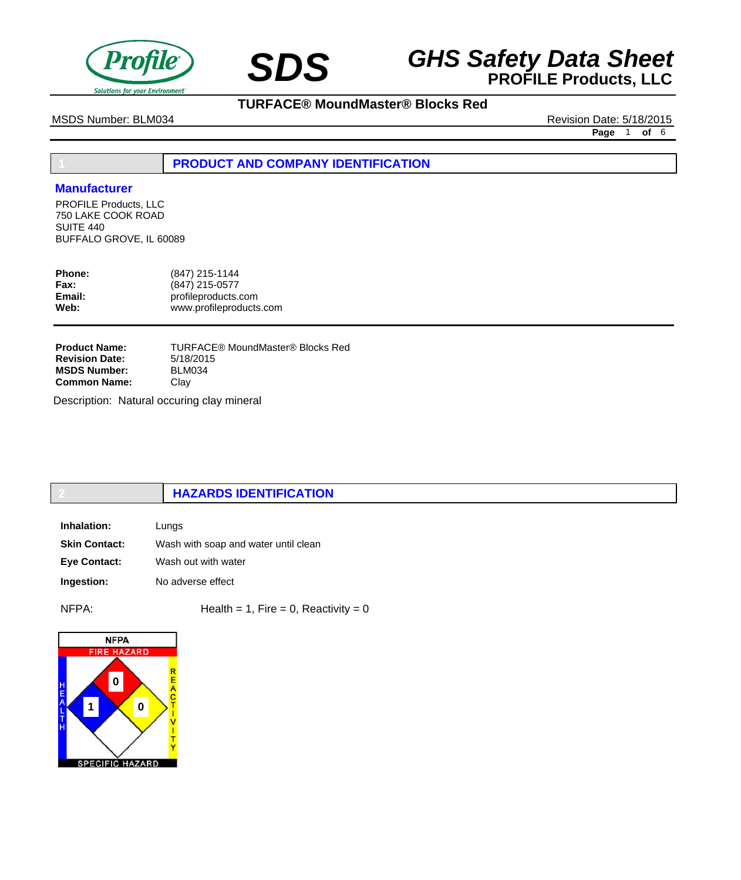

## **SDS GHS Safety Data Sheet**<br>**PROFILE Products, LLC**

MSDS Number: BLM034 Revision Date: 5/18/2015

**TURFACE® MoundMaster® Blocks Red**

**Page** 1 **of** 6

## **1 PRODUCT AND COMPANY IDENTIFICATION**

## **Manufacturer**

PROFILE Products, LLC 750 LAKE COOK ROAD SUITE 440 BUFFALO GROVE, IL 60089

| <b>Phone:</b><br><b>Fax:</b> | (847) 215-1144<br>(847) 215-0577 |
|------------------------------|----------------------------------|
| Email:                       | profileproducts.com              |
| Web:                         | www.profileproducts.com          |
|                              |                                  |

TURFACE® MoundMaster® Blocks Red 5/18/2015 BLM034 Clay **Product Name: Revision Date: MSDS Number: Common Name:**

Description: Natural occuring clay mineral

## **2 HAZARDS IDENTIFICATION**

| Inhalation:          | Lungs                                |
|----------------------|--------------------------------------|
| <b>Skin Contact:</b> | Wash with soap and water until clean |
| <b>Eye Contact:</b>  | Wash out with water                  |
| Ingestion:           | No adverse effect                    |

 $NFPA:$  Health = 1, Fire = 0, Reactivity = 0

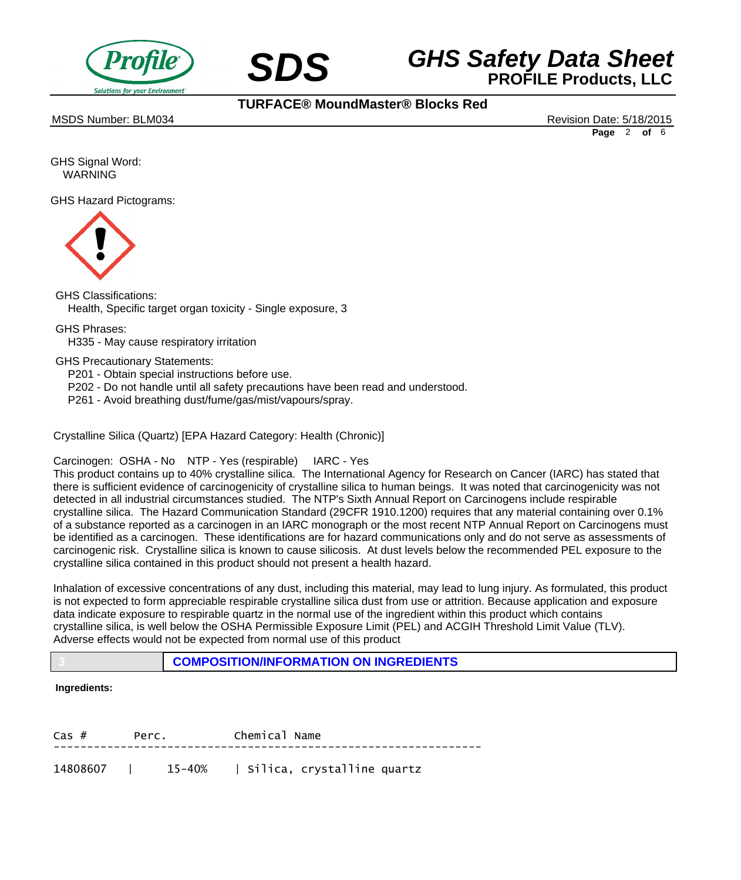



MSDS Number: BLM034 Revision Date: 5/18/2015

**TURFACE® MoundMaster® Blocks Red**

**Page** 2 **of** 6

GHS Signal Word: WARNING

GHS Hazard Pictograms:



GHS Classifications: Health, Specific target organ toxicity - Single exposure, 3

GHS Phrases:

 H335 - May cause respiratory irritation

GHS Precautionary Statements:

 P201 - Obtain special instructions before use.

- P202 Do not handle until all safety precautions have been read and understood.
- P261 Avoid breathing dust/fume/gas/mist/vapours/spray.

Crystalline Silica (Quartz) [EPA Hazard Category: Health (Chronic)]

Carcinogen: OSHA - No NTP - Yes (respirable) IARC - Yes

This product contains up to 40% crystalline silica. The International Agency for Research on Cancer (IARC) has stated that there is sufficient evidence of carcinogenicity of crystalline silica to human beings. It was noted that carcinogenicity was not detected in all industrial circumstances studied. The NTP's Sixth Annual Report on Carcinogens include respirable crystalline silica. The Hazard Communication Standard (29CFR 1910.1200) requires that any material containing over 0.1% of a substance reported as a carcinogen in an IARC monograph or the most recent NTP Annual Report on Carcinogens must be identified as a carcinogen. These identifications are for hazard communications only and do not serve as assessments of carcinogenic risk. Crystalline silica is known to cause silicosis. At dust levels below the recommended PEL exposure to the crystalline silica contained in this product should not present a health hazard.

Inhalation of excessive concentrations of any dust, including this material, may lead to lung injury. As formulated, this product is not expected to form appreciable respirable crystalline silica dust from use or attrition. Because application and exposure data indicate exposure to respirable quartz in the normal use of the ingredient within this product which contains crystalline silica, is well below the OSHA Permissible Exposure Limit (PEL) and ACGIH Threshold Limit Value (TLV). Adverse effects would not be expected from normal use of this product

**3 COMPOSITION/INFORMATION ON INGREDIENTS**

## **Ingredients:**

| $\text{Cas}~#$ | Perc. |  | Chemical Name |                                                |  |
|----------------|-------|--|---------------|------------------------------------------------|--|
|                |       |  |               |                                                |  |
|                |       |  |               | 14808607   15-40%   silica, crystalline quartz |  |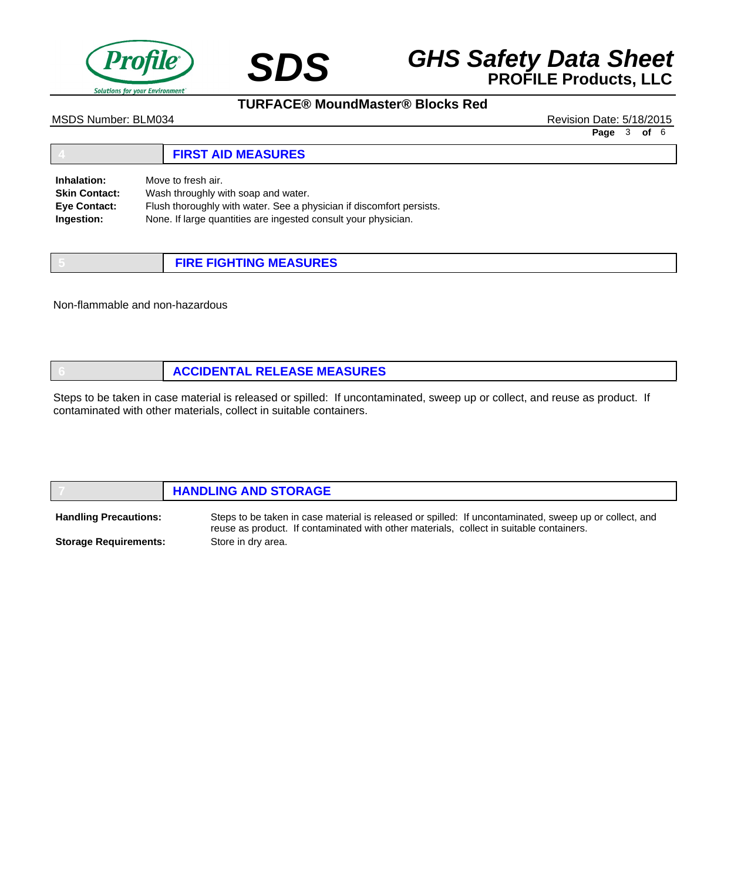

# **SDS GHS Safety Data Sheet**<br>**PROFILE Products, LLC**

## **TURFACE® MoundMaster® Blocks Red**

MSDS Number: BLM034 Revision Date: 5/18/2015

**Page** 3 **of** 6

#### **4 FIRST AID MEASURES** Move to fresh air. Wash throughly with soap and water. Flush thoroughly with water. See a physician if discomfort persists. None. If large quantities are ingested consult your physician. **Inhalation: Skin Contact: Eye Contact: Ingestion:**

| <b>FIRE FIGHTING MEASURES</b> |
|-------------------------------|

Non-flammable and non-hazardous

| <b>ACCIDENTAL RELEASE MEASURES</b> |
|------------------------------------|
|                                    |

Steps to be taken in case material is released or spilled: If uncontaminated, sweep up or collect, and reuse as product. If contaminated with other materials, collect in suitable containers.

|                              | <b>HANDLING AND STORAGE</b>                                                                            |  |  |
|------------------------------|--------------------------------------------------------------------------------------------------------|--|--|
| <b>Handling Precautions:</b> | Steps to be taken in case material is released or spilled: If uncontaminated, sweep up or collect, and |  |  |

**Storage Requirements:**

reuse as product. If contaminated with other materials, collect in suitable containers. Store in dry area.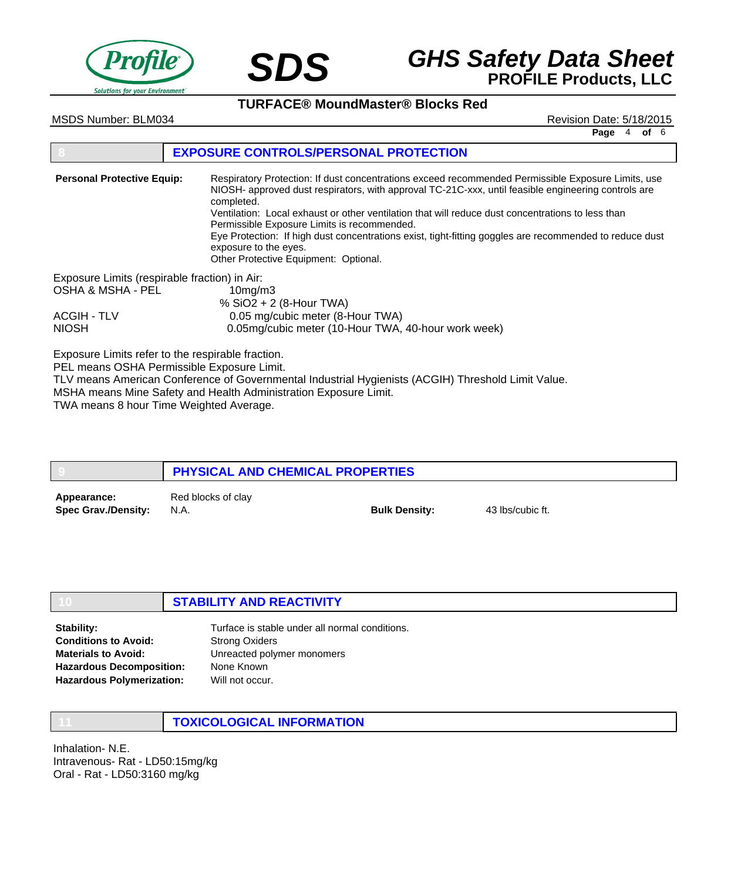



**TURFACE® MoundMaster® Blocks Red**

MSDS Number: BLM034 Revision Date: 5/18/2015

**Page** 4 **of** 6

## **8 EXPOSURE CONTROLS/PERSONAL PROTECTION**

| <b>Personal Protective Equip:</b>             | Respiratory Protection: If dust concentrations exceed recommended Permissible Exposure Limits, use<br>NIOSH- approved dust respirators, with approval TC-21C-xxx, until feasible engineering controls are<br>completed.<br>Ventilation: Local exhaust or other ventilation that will reduce dust concentrations to less than<br>Permissible Exposure Limits is recommended.<br>Eye Protection: If high dust concentrations exist, tight-fitting goggles are recommended to reduce dust<br>exposure to the eyes.<br>Other Protective Equipment: Optional. |  |
|-----------------------------------------------|----------------------------------------------------------------------------------------------------------------------------------------------------------------------------------------------------------------------------------------------------------------------------------------------------------------------------------------------------------------------------------------------------------------------------------------------------------------------------------------------------------------------------------------------------------|--|
| Exposure Limits (respirable fraction) in Air: |                                                                                                                                                                                                                                                                                                                                                                                                                                                                                                                                                          |  |
| OSHA & MSHA - PEL                             | 10mg/m3                                                                                                                                                                                                                                                                                                                                                                                                                                                                                                                                                  |  |
|                                               | % $SiO2 + 2$ (8-Hour TWA)                                                                                                                                                                                                                                                                                                                                                                                                                                                                                                                                |  |
| <b>ACGIH - TLV</b>                            | 0.05 mg/cubic meter (8-Hour TWA)                                                                                                                                                                                                                                                                                                                                                                                                                                                                                                                         |  |
| <b>NIOSH</b>                                  | 0.05mg/cubic meter (10-Hour TWA, 40-hour work week)                                                                                                                                                                                                                                                                                                                                                                                                                                                                                                      |  |

Exposure Limits refer to the respirable fraction.

PEL means OSHA Permissible Exposure Limit.

TLV means American Conference of Governmental Industrial Hygienists (ACGIH) Threshold Limit Value. MSHA means Mine Safety and Health Administration Exposure Limit.

TWA means 8 hour Time Weighted Average.

|                                           | PHYSICAL AND CHEMICAL PROPERTIES |                      |                  |
|-------------------------------------------|----------------------------------|----------------------|------------------|
| Appearance:<br><b>Spec Grav./Density:</b> | Red blocks of clay<br>N.A.       | <b>Bulk Density:</b> | 43 lbs/cubic ft. |

## **10 STABILITY AND REACTIVITY**

Turface is stable under all normal conditions. Strong Oxiders Unreacted polymer monomers None Known Will not occur. **Stability: Conditions to Avoid: Materials to Avoid: Hazardous Decomposition: Hazardous Polymerization:**

**11 TOXICOLOGICAL INFORMATION**

Inhalation- N.E. Intravenous- Rat - LD50:15mg/kg Oral - Rat - LD50:3160 mg/kg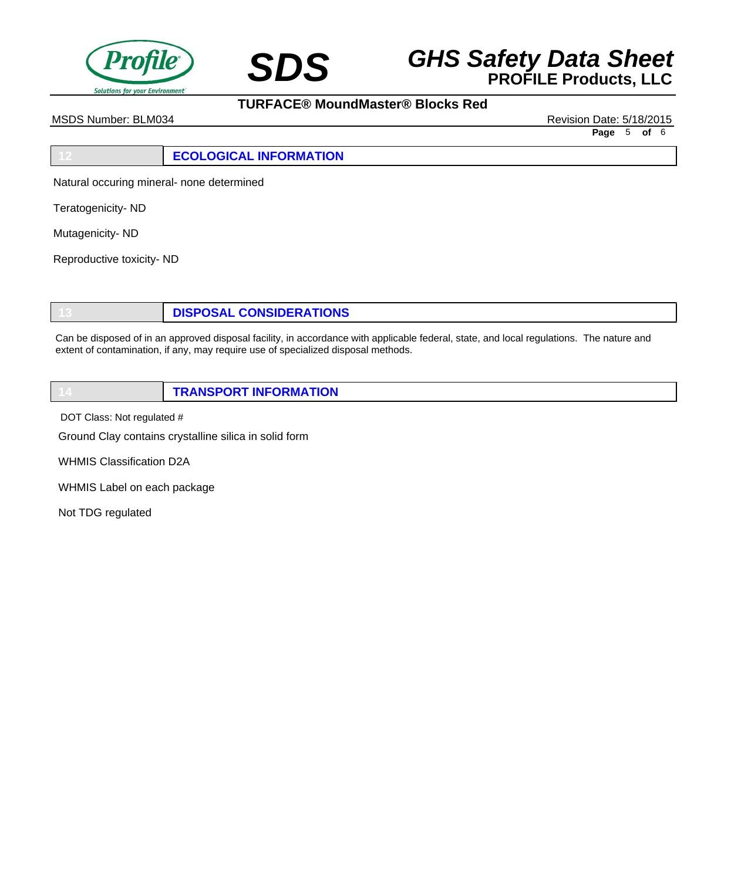



**TURFACE® MoundMaster® Blocks Red**

MSDS Number: BLM034 Revision Date: 5/18/2015

**Page** 5 **of** 6

## **12 ECOLOGICAL INFORMATION**

Natural occuring mineral- none determined

Teratogenicity- ND

Mutagenicity- ND

Reproductive toxicity- ND

**13 DISPOSAL CONSIDERATIONS**

Can be disposed of in an approved disposal facility, in accordance with applicable federal, state, and local regulations. The nature and extent of contamination, if any, may require use of specialized disposal methods.

| <b>TRANSPORT INFORMATION</b> |
|------------------------------|
|                              |

DOT Class: Not regulated #

Ground Clay contains crystalline silica in solid form

WHMIS Classification D2A

WHMIS Label on each package

Not TDG regulated